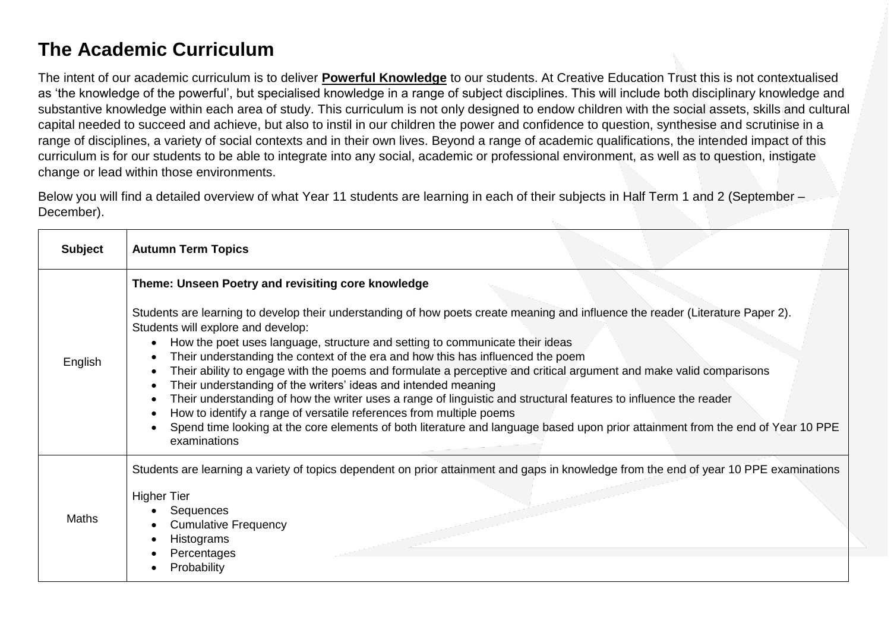## **The Academic Curriculum**

The intent of our academic curriculum is to deliver **Powerful Knowledge** to our students. At Creative Education Trust this is not contextualised as 'the knowledge of the powerful', but specialised knowledge in a range of subject disciplines. This will include both disciplinary knowledge and substantive knowledge within each area of study. This curriculum is not only designed to endow children with the social assets, skills and cultural capital needed to succeed and achieve, but also to instil in our children the power and confidence to question, synthesise and scrutinise in a range of disciplines, a variety of social contexts and in their own lives. Beyond a range of academic qualifications, the intended impact of this curriculum is for our students to be able to integrate into any social, academic or professional environment, as well as to question, instigate change or lead within those environments.

Below you will find a detailed overview of what Year 11 students are learning in each of their subjects in Half Term 1 and 2 (September – December).

| <b>Subject</b> | <b>Autumn Term Topics</b>                                                                                                                                                                                                                                                                                                                                                                                                                                                                                                                                                                                                                                                                                                                                                                                                                                                                                                                                                   |
|----------------|-----------------------------------------------------------------------------------------------------------------------------------------------------------------------------------------------------------------------------------------------------------------------------------------------------------------------------------------------------------------------------------------------------------------------------------------------------------------------------------------------------------------------------------------------------------------------------------------------------------------------------------------------------------------------------------------------------------------------------------------------------------------------------------------------------------------------------------------------------------------------------------------------------------------------------------------------------------------------------|
| English        | Theme: Unseen Poetry and revisiting core knowledge<br>Students are learning to develop their understanding of how poets create meaning and influence the reader (Literature Paper 2).<br>Students will explore and develop:<br>How the poet uses language, structure and setting to communicate their ideas<br>$\bullet$<br>Their understanding the context of the era and how this has influenced the poem<br>Their ability to engage with the poems and formulate a perceptive and critical argument and make valid comparisons<br>Their understanding of the writers' ideas and intended meaning<br>$\bullet$<br>Their understanding of how the writer uses a range of linguistic and structural features to influence the reader<br>How to identify a range of versatile references from multiple poems<br>$\bullet$<br>Spend time looking at the core elements of both literature and language based upon prior attainment from the end of Year 10 PPE<br>examinations |
| Maths          | Students are learning a variety of topics dependent on prior attainment and gaps in knowledge from the end of year 10 PPE examinations<br><b>Higher Tier</b><br>Sequences<br><b>Cumulative Frequency</b><br>Histograms<br>Percentages<br>Probability                                                                                                                                                                                                                                                                                                                                                                                                                                                                                                                                                                                                                                                                                                                        |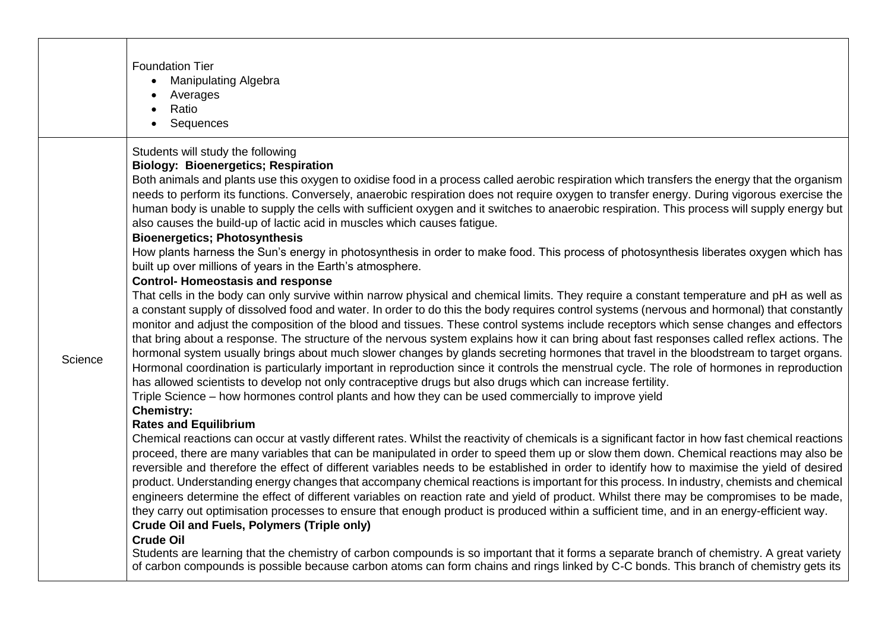|         | <b>Foundation Tier</b><br><b>Manipulating Algebra</b><br>Averages<br>Ratio<br>Sequences                                                                                                                                                                                                                                                                                                                                                                                                                                                                                                                                                                                                                                                                                                                                                                                                                                                                                                                                                                                                                                                                                                                                        |
|---------|--------------------------------------------------------------------------------------------------------------------------------------------------------------------------------------------------------------------------------------------------------------------------------------------------------------------------------------------------------------------------------------------------------------------------------------------------------------------------------------------------------------------------------------------------------------------------------------------------------------------------------------------------------------------------------------------------------------------------------------------------------------------------------------------------------------------------------------------------------------------------------------------------------------------------------------------------------------------------------------------------------------------------------------------------------------------------------------------------------------------------------------------------------------------------------------------------------------------------------|
| Science | Students will study the following<br><b>Biology: Bioenergetics; Respiration</b><br>Both animals and plants use this oxygen to oxidise food in a process called aerobic respiration which transfers the energy that the organism<br>needs to perform its functions. Conversely, anaerobic respiration does not require oxygen to transfer energy. During vigorous exercise the<br>human body is unable to supply the cells with sufficient oxygen and it switches to anaerobic respiration. This process will supply energy but<br>also causes the build-up of lactic acid in muscles which causes fatigue.<br><b>Bioenergetics; Photosynthesis</b><br>How plants harness the Sun's energy in photosynthesis in order to make food. This process of photosynthesis liberates oxygen which has                                                                                                                                                                                                                                                                                                                                                                                                                                   |
|         | built up over millions of years in the Earth's atmosphere.<br><b>Control- Homeostasis and response</b><br>That cells in the body can only survive within narrow physical and chemical limits. They require a constant temperature and pH as well as<br>a constant supply of dissolved food and water. In order to do this the body requires control systems (nervous and hormonal) that constantly<br>monitor and adjust the composition of the blood and tissues. These control systems include receptors which sense changes and effectors<br>that bring about a response. The structure of the nervous system explains how it can bring about fast responses called reflex actions. The<br>hormonal system usually brings about much slower changes by glands secreting hormones that travel in the bloodstream to target organs.<br>Hormonal coordination is particularly important in reproduction since it controls the menstrual cycle. The role of hormones in reproduction<br>has allowed scientists to develop not only contraceptive drugs but also drugs which can increase fertility.<br>Triple Science - how hormones control plants and how they can be used commercially to improve yield<br><b>Chemistry:</b> |
|         | <b>Rates and Equilibrium</b><br>Chemical reactions can occur at vastly different rates. Whilst the reactivity of chemicals is a significant factor in how fast chemical reactions<br>proceed, there are many variables that can be manipulated in order to speed them up or slow them down. Chemical reactions may also be<br>reversible and therefore the effect of different variables needs to be established in order to identify how to maximise the yield of desired<br>product. Understanding energy changes that accompany chemical reactions is important for this process. In industry, chemists and chemical<br>engineers determine the effect of different variables on reaction rate and yield of product. Whilst there may be compromises to be made,<br>they carry out optimisation processes to ensure that enough product is produced within a sufficient time, and in an energy-efficient way.<br><b>Crude Oil and Fuels, Polymers (Triple only)</b><br><b>Crude Oil</b><br>Students are learning that the chemistry of carbon compounds is so important that it forms a separate branch of chemistry. A great variety                                                                                       |
|         | of carbon compounds is possible because carbon atoms can form chains and rings linked by C-C bonds. This branch of chemistry gets its                                                                                                                                                                                                                                                                                                                                                                                                                                                                                                                                                                                                                                                                                                                                                                                                                                                                                                                                                                                                                                                                                          |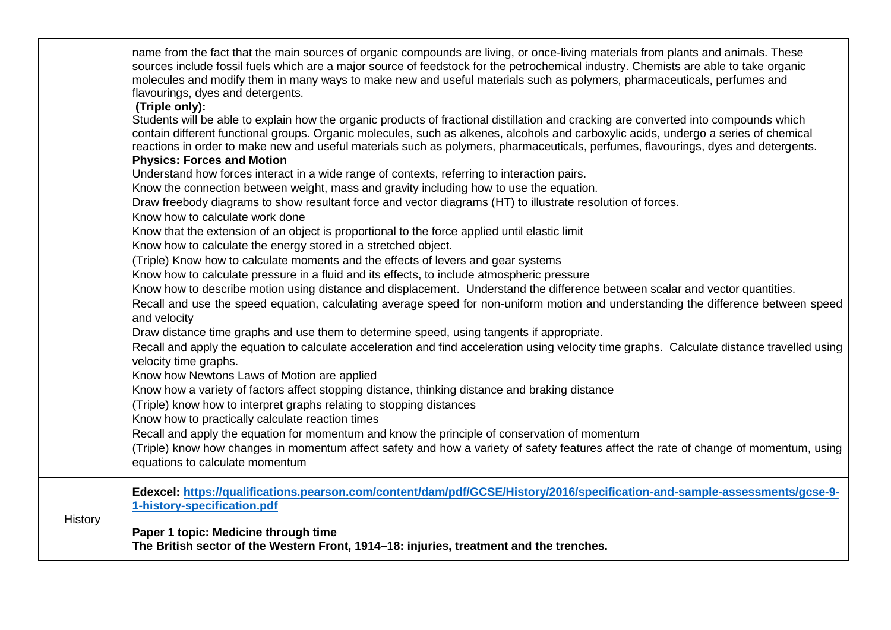|         | name from the fact that the main sources of organic compounds are living, or once-living materials from plants and animals. These<br>sources include fossil fuels which are a major source of feedstock for the petrochemical industry. Chemists are able to take organic<br>molecules and modify them in many ways to make new and useful materials such as polymers, pharmaceuticals, perfumes and<br>flavourings, dyes and detergents.<br>(Triple only): |
|---------|-------------------------------------------------------------------------------------------------------------------------------------------------------------------------------------------------------------------------------------------------------------------------------------------------------------------------------------------------------------------------------------------------------------------------------------------------------------|
|         | Students will be able to explain how the organic products of fractional distillation and cracking are converted into compounds which<br>contain different functional groups. Organic molecules, such as alkenes, alcohols and carboxylic acids, undergo a series of chemical<br>reactions in order to make new and useful materials such as polymers, pharmaceuticals, perfumes, flavourings, dyes and detergents.                                          |
|         | <b>Physics: Forces and Motion</b><br>Understand how forces interact in a wide range of contexts, referring to interaction pairs.                                                                                                                                                                                                                                                                                                                            |
|         | Know the connection between weight, mass and gravity including how to use the equation.                                                                                                                                                                                                                                                                                                                                                                     |
|         | Draw freebody diagrams to show resultant force and vector diagrams (HT) to illustrate resolution of forces.<br>Know how to calculate work done                                                                                                                                                                                                                                                                                                              |
|         | Know that the extension of an object is proportional to the force applied until elastic limit                                                                                                                                                                                                                                                                                                                                                               |
|         | Know how to calculate the energy stored in a stretched object.                                                                                                                                                                                                                                                                                                                                                                                              |
|         | (Triple) Know how to calculate moments and the effects of levers and gear systems                                                                                                                                                                                                                                                                                                                                                                           |
|         | Know how to calculate pressure in a fluid and its effects, to include atmospheric pressure                                                                                                                                                                                                                                                                                                                                                                  |
|         | Know how to describe motion using distance and displacement. Understand the difference between scalar and vector quantities.<br>Recall and use the speed equation, calculating average speed for non-uniform motion and understanding the difference between speed<br>and velocity                                                                                                                                                                          |
|         | Draw distance time graphs and use them to determine speed, using tangents if appropriate.                                                                                                                                                                                                                                                                                                                                                                   |
|         | Recall and apply the equation to calculate acceleration and find acceleration using velocity time graphs. Calculate distance travelled using<br>velocity time graphs.                                                                                                                                                                                                                                                                                       |
|         | Know how Newtons Laws of Motion are applied                                                                                                                                                                                                                                                                                                                                                                                                                 |
|         | Know how a variety of factors affect stopping distance, thinking distance and braking distance<br>(Triple) know how to interpret graphs relating to stopping distances<br>Know how to practically calculate reaction times                                                                                                                                                                                                                                  |
|         | Recall and apply the equation for momentum and know the principle of conservation of momentum                                                                                                                                                                                                                                                                                                                                                               |
|         | (Triple) know how changes in momentum affect safety and how a variety of safety features affect the rate of change of momentum, using<br>equations to calculate momentum                                                                                                                                                                                                                                                                                    |
|         | Edexcel: https://qualifications.pearson.com/content/dam/pdf/GCSE/History/2016/specification-and-sample-assessments/gcse-9-<br>1-history-specification.pdf                                                                                                                                                                                                                                                                                                   |
| History | Paper 1 topic: Medicine through time<br>The British sector of the Western Front, 1914-18: injuries, treatment and the trenches.                                                                                                                                                                                                                                                                                                                             |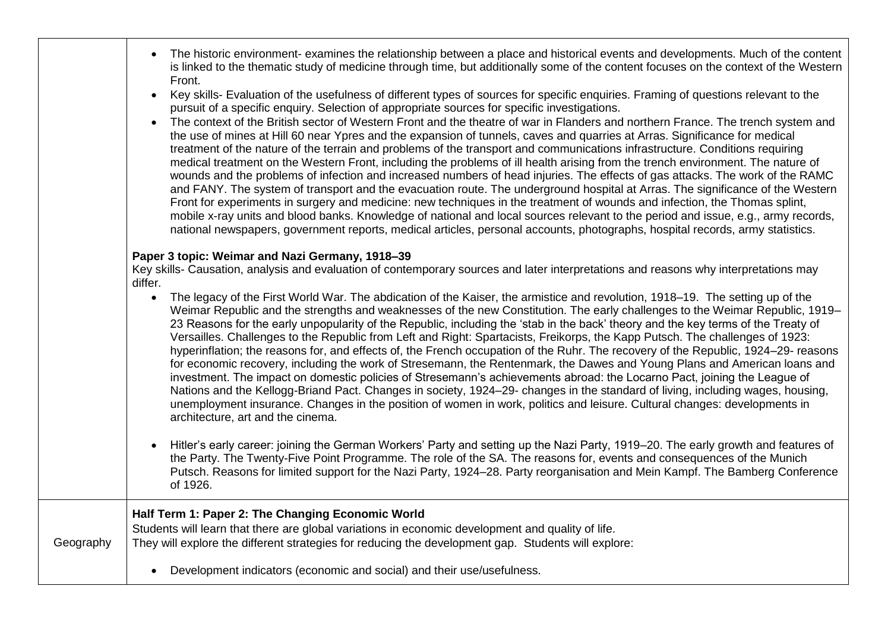|           | The historic environment- examines the relationship between a place and historical events and developments. Much of the content<br>is linked to the thematic study of medicine through time, but additionally some of the content focuses on the context of the Western<br>Front.                                                                                                                                                                                                                                                                                                                                                                                                                                                                                                                                                                                                                                                                                                                                                                                                                                                                                                                                                                                                                                                                                                                                                                                         |
|-----------|---------------------------------------------------------------------------------------------------------------------------------------------------------------------------------------------------------------------------------------------------------------------------------------------------------------------------------------------------------------------------------------------------------------------------------------------------------------------------------------------------------------------------------------------------------------------------------------------------------------------------------------------------------------------------------------------------------------------------------------------------------------------------------------------------------------------------------------------------------------------------------------------------------------------------------------------------------------------------------------------------------------------------------------------------------------------------------------------------------------------------------------------------------------------------------------------------------------------------------------------------------------------------------------------------------------------------------------------------------------------------------------------------------------------------------------------------------------------------|
|           | Key skills- Evaluation of the usefulness of different types of sources for specific enquiries. Framing of questions relevant to the<br>$\bullet$<br>pursuit of a specific enquiry. Selection of appropriate sources for specific investigations.<br>The context of the British sector of Western Front and the theatre of war in Flanders and northern France. The trench system and<br>$\bullet$<br>the use of mines at Hill 60 near Ypres and the expansion of tunnels, caves and quarries at Arras. Significance for medical<br>treatment of the nature of the terrain and problems of the transport and communications infrastructure. Conditions requiring<br>medical treatment on the Western Front, including the problems of ill health arising from the trench environment. The nature of<br>wounds and the problems of infection and increased numbers of head injuries. The effects of gas attacks. The work of the RAMC<br>and FANY. The system of transport and the evacuation route. The underground hospital at Arras. The significance of the Western<br>Front for experiments in surgery and medicine: new techniques in the treatment of wounds and infection, the Thomas splint,<br>mobile x-ray units and blood banks. Knowledge of national and local sources relevant to the period and issue, e.g., army records,<br>national newspapers, government reports, medical articles, personal accounts, photographs, hospital records, army statistics. |
|           | Paper 3 topic: Weimar and Nazi Germany, 1918-39<br>Key skills- Causation, analysis and evaluation of contemporary sources and later interpretations and reasons why interpretations may<br>differ.                                                                                                                                                                                                                                                                                                                                                                                                                                                                                                                                                                                                                                                                                                                                                                                                                                                                                                                                                                                                                                                                                                                                                                                                                                                                        |
|           | The legacy of the First World War. The abdication of the Kaiser, the armistice and revolution, 1918–19. The setting up of the<br>$\bullet$<br>Weimar Republic and the strengths and weaknesses of the new Constitution. The early challenges to the Weimar Republic, 1919–<br>23 Reasons for the early unpopularity of the Republic, including the 'stab in the back' theory and the key terms of the Treaty of<br>Versailles. Challenges to the Republic from Left and Right: Spartacists, Freikorps, the Kapp Putsch. The challenges of 1923:<br>hyperinflation; the reasons for, and effects of, the French occupation of the Ruhr. The recovery of the Republic, 1924–29- reasons<br>for economic recovery, including the work of Stresemann, the Rentenmark, the Dawes and Young Plans and American loans and<br>investment. The impact on domestic policies of Stresemann's achievements abroad: the Locarno Pact, joining the League of<br>Nations and the Kellogg-Briand Pact. Changes in society, 1924-29- changes in the standard of living, including wages, housing,<br>unemployment insurance. Changes in the position of women in work, politics and leisure. Cultural changes: developments in<br>architecture, art and the cinema.                                                                                                                                                                                                                        |
|           | Hitler's early career: joining the German Workers' Party and setting up the Nazi Party, 1919–20. The early growth and features of<br>the Party. The Twenty-Five Point Programme. The role of the SA. The reasons for, events and consequences of the Munich<br>Putsch. Reasons for limited support for the Nazi Party, 1924–28. Party reorganisation and Mein Kampf. The Bamberg Conference<br>of 1926.                                                                                                                                                                                                                                                                                                                                                                                                                                                                                                                                                                                                                                                                                                                                                                                                                                                                                                                                                                                                                                                                   |
| Geography | Half Term 1: Paper 2: The Changing Economic World<br>Students will learn that there are global variations in economic development and quality of life.<br>They will explore the different strategies for reducing the development gap. Students will explore:                                                                                                                                                                                                                                                                                                                                                                                                                                                                                                                                                                                                                                                                                                                                                                                                                                                                                                                                                                                                                                                                                                                                                                                                             |
|           | Development indicators (economic and social) and their use/usefulness.                                                                                                                                                                                                                                                                                                                                                                                                                                                                                                                                                                                                                                                                                                                                                                                                                                                                                                                                                                                                                                                                                                                                                                                                                                                                                                                                                                                                    |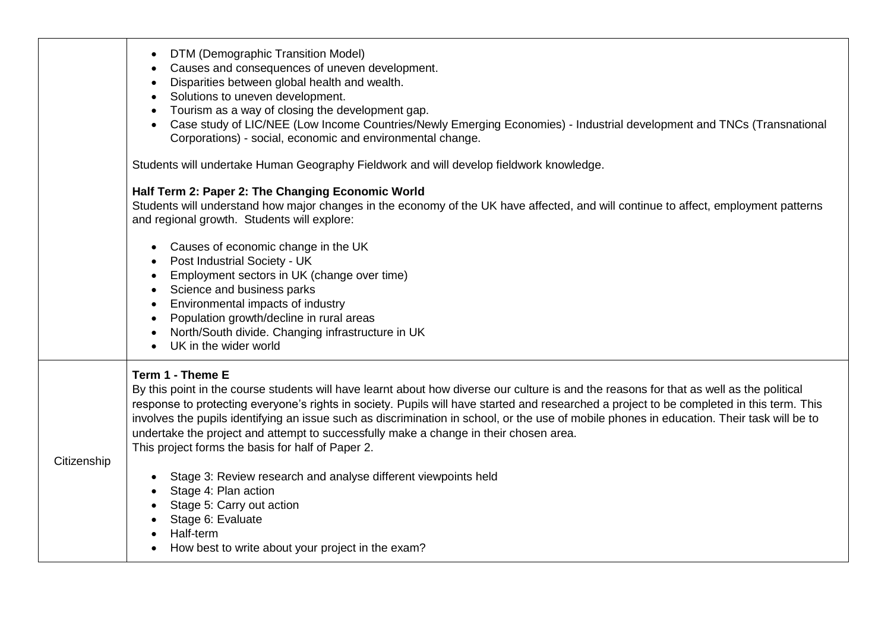|             | DTM (Demographic Transition Model)<br>$\bullet$<br>Causes and consequences of uneven development.<br>Disparities between global health and wealth.<br>Solutions to uneven development.<br>Tourism as a way of closing the development gap.<br>Case study of LIC/NEE (Low Income Countries/Newly Emerging Economies) - Industrial development and TNCs (Transnational<br>Corporations) - social, economic and environmental change.                                                                                                                                                                    |
|-------------|-------------------------------------------------------------------------------------------------------------------------------------------------------------------------------------------------------------------------------------------------------------------------------------------------------------------------------------------------------------------------------------------------------------------------------------------------------------------------------------------------------------------------------------------------------------------------------------------------------|
|             | Students will undertake Human Geography Fieldwork and will develop fieldwork knowledge.                                                                                                                                                                                                                                                                                                                                                                                                                                                                                                               |
|             | Half Term 2: Paper 2: The Changing Economic World<br>Students will understand how major changes in the economy of the UK have affected, and will continue to affect, employment patterns<br>and regional growth. Students will explore:                                                                                                                                                                                                                                                                                                                                                               |
|             | Causes of economic change in the UK<br>Post Industrial Society - UK<br>Employment sectors in UK (change over time)<br>Science and business parks<br>Environmental impacts of industry<br>Population growth/decline in rural areas<br>North/South divide. Changing infrastructure in UK<br>UK in the wider world<br>$\bullet$                                                                                                                                                                                                                                                                          |
| Citizenship | Term 1 - Theme E<br>By this point in the course students will have learnt about how diverse our culture is and the reasons for that as well as the political<br>response to protecting everyone's rights in society. Pupils will have started and researched a project to be completed in this term. This<br>involves the pupils identifying an issue such as discrimination in school, or the use of mobile phones in education. Their task will be to<br>undertake the project and attempt to successfully make a change in their chosen area.<br>This project forms the basis for half of Paper 2. |
|             | Stage 3: Review research and analyse different viewpoints held<br>Stage 4: Plan action<br>Stage 5: Carry out action<br>Stage 6: Evaluate<br>Half-term<br>How best to write about your project in the exam?                                                                                                                                                                                                                                                                                                                                                                                            |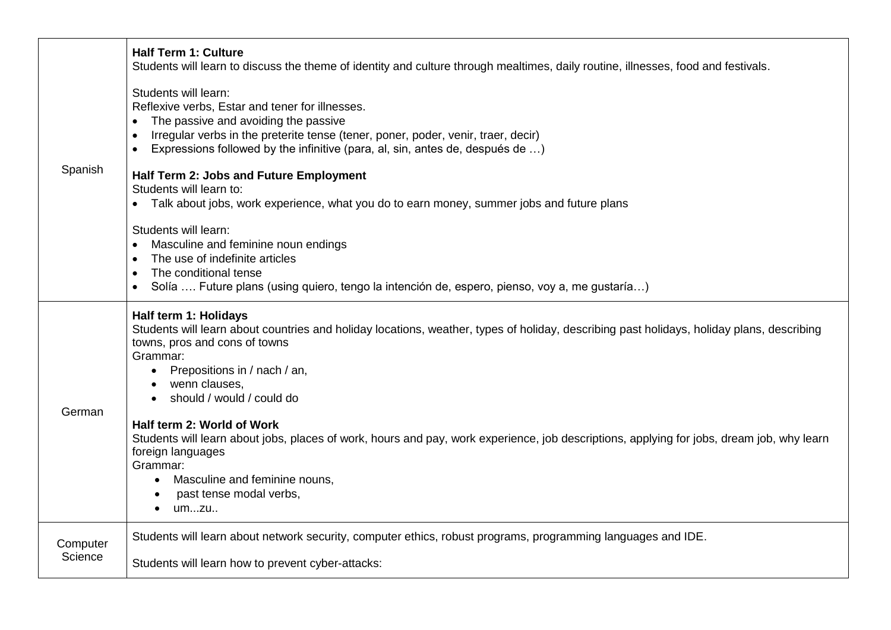| Spanish             | <b>Half Term 1: Culture</b><br>Students will learn to discuss the theme of identity and culture through mealtimes, daily routine, illnesses, food and festivals.                                                                                                                                                                                                                      |
|---------------------|---------------------------------------------------------------------------------------------------------------------------------------------------------------------------------------------------------------------------------------------------------------------------------------------------------------------------------------------------------------------------------------|
|                     | Students will learn:<br>Reflexive verbs, Estar and tener for illnesses.<br>The passive and avoiding the passive<br>Irregular verbs in the preterite tense (tener, poner, poder, venir, traer, decir)<br>$\bullet$<br>Expressions followed by the infinitive (para, al, sin, antes de, después de )<br>$\bullet$<br>Half Term 2: Jobs and Future Employment<br>Students will learn to: |
|                     | Talk about jobs, work experience, what you do to earn money, summer jobs and future plans<br>Students will learn:<br>Masculine and feminine noun endings<br>$\bullet$                                                                                                                                                                                                                 |
|                     | The use of indefinite articles<br>$\bullet$<br>The conditional tense<br>$\bullet$<br>Solía  Future plans (using quiero, tengo la intención de, espero, pienso, voy a, me gustaría)                                                                                                                                                                                                    |
| German              | Half term 1: Holidays<br>Students will learn about countries and holiday locations, weather, types of holiday, describing past holidays, holiday plans, describing<br>towns, pros and cons of towns<br>Grammar:<br>Prepositions in / nach / an,<br>wenn clauses,<br>should / would / could do                                                                                         |
|                     | Half term 2: World of Work<br>Students will learn about jobs, places of work, hours and pay, work experience, job descriptions, applying for jobs, dream job, why learn<br>foreign languages<br>Grammar:<br>Masculine and feminine nouns,<br>past tense modal verbs,<br>umzu<br>$\bullet$                                                                                             |
| Computer<br>Science | Students will learn about network security, computer ethics, robust programs, programming languages and IDE.<br>Students will learn how to prevent cyber-attacks:                                                                                                                                                                                                                     |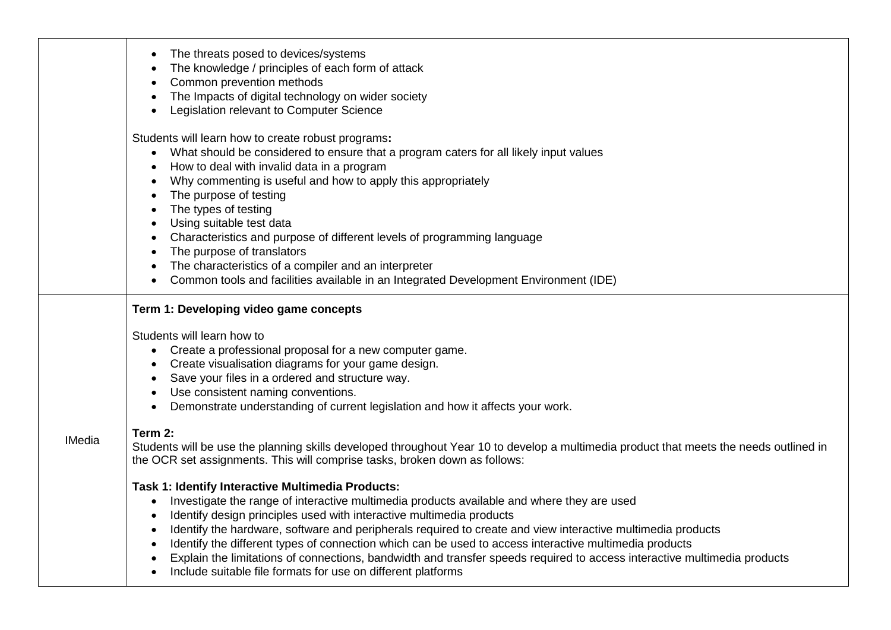|               | The threats posed to devices/systems<br>The knowledge / principles of each form of attack<br>Common prevention methods<br>The Impacts of digital technology on wider society<br>Legislation relevant to Computer Science                                                                                                                                                                                                                                                                                                                                                                                                                                                                                                                                                                                                                                                                                                                                                                                                                                                                                                                                                                                                                                          |
|---------------|-------------------------------------------------------------------------------------------------------------------------------------------------------------------------------------------------------------------------------------------------------------------------------------------------------------------------------------------------------------------------------------------------------------------------------------------------------------------------------------------------------------------------------------------------------------------------------------------------------------------------------------------------------------------------------------------------------------------------------------------------------------------------------------------------------------------------------------------------------------------------------------------------------------------------------------------------------------------------------------------------------------------------------------------------------------------------------------------------------------------------------------------------------------------------------------------------------------------------------------------------------------------|
|               | Students will learn how to create robust programs:<br>What should be considered to ensure that a program caters for all likely input values<br>$\bullet$<br>How to deal with invalid data in a program<br>Why commenting is useful and how to apply this appropriately<br>The purpose of testing<br>The types of testing<br>Using suitable test data<br>Characteristics and purpose of different levels of programming language<br>The purpose of translators<br>The characteristics of a compiler and an interpreter<br>Common tools and facilities available in an Integrated Development Environment (IDE)                                                                                                                                                                                                                                                                                                                                                                                                                                                                                                                                                                                                                                                     |
| <b>IMedia</b> | Term 1: Developing video game concepts<br>Students will learn how to<br>Create a professional proposal for a new computer game.<br>Create visualisation diagrams for your game design.<br>Save your files in a ordered and structure way.<br>Use consistent naming conventions.<br>Demonstrate understanding of current legislation and how it affects your work.<br>Term 2:<br>Students will be use the planning skills developed throughout Year 10 to develop a multimedia product that meets the needs outlined in<br>the OCR set assignments. This will comprise tasks, broken down as follows:<br>Task 1: Identify Interactive Multimedia Products:<br>Investigate the range of interactive multimedia products available and where they are used<br>$\bullet$<br>Identify design principles used with interactive multimedia products<br>Identify the hardware, software and peripherals required to create and view interactive multimedia products<br>Identify the different types of connection which can be used to access interactive multimedia products<br>Explain the limitations of connections, bandwidth and transfer speeds required to access interactive multimedia products<br>Include suitable file formats for use on different platforms |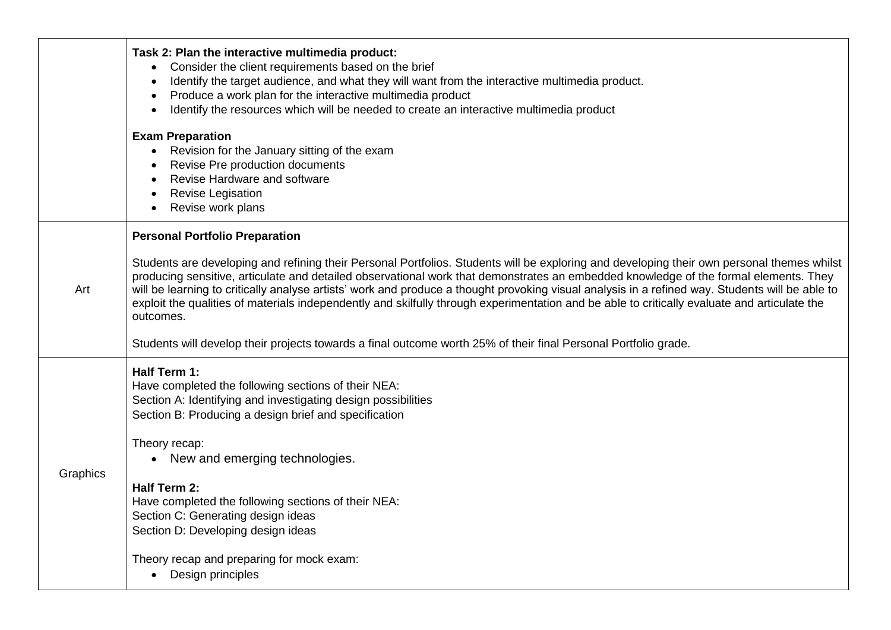|          | Task 2: Plan the interactive multimedia product:<br>Consider the client requirements based on the brief<br>$\bullet$<br>Identify the target audience, and what they will want from the interactive multimedia product.<br>$\bullet$<br>Produce a work plan for the interactive multimedia product<br>$\bullet$                                                                                                                                                                                                                                                                                                                              |
|----------|---------------------------------------------------------------------------------------------------------------------------------------------------------------------------------------------------------------------------------------------------------------------------------------------------------------------------------------------------------------------------------------------------------------------------------------------------------------------------------------------------------------------------------------------------------------------------------------------------------------------------------------------|
|          | Identify the resources which will be needed to create an interactive multimedia product<br><b>Exam Preparation</b><br>Revision for the January sitting of the exam<br>Revise Pre production documents<br>Revise Hardware and software<br>Revise Legisation<br>Revise work plans                                                                                                                                                                                                                                                                                                                                                             |
| Art      | <b>Personal Portfolio Preparation</b><br>Students are developing and refining their Personal Portfolios. Students will be exploring and developing their own personal themes whilst<br>producing sensitive, articulate and detailed observational work that demonstrates an embedded knowledge of the formal elements. They<br>will be learning to critically analyse artists' work and produce a thought provoking visual analysis in a refined way. Students will be able to<br>exploit the qualities of materials independently and skilfully through experimentation and be able to critically evaluate and articulate the<br>outcomes. |
| Graphics | Students will develop their projects towards a final outcome worth 25% of their final Personal Portfolio grade.<br>Half Term 1:<br>Have completed the following sections of their NEA:<br>Section A: Identifying and investigating design possibilities<br>Section B: Producing a design brief and specification<br>Theory recap:<br>• New and emerging technologies.<br>Half Term 2:<br>Have completed the following sections of their NEA:<br>Section C: Generating design ideas<br>Section D: Developing design ideas<br>Theory recap and preparing for mock exam:<br>Design principles                                                  |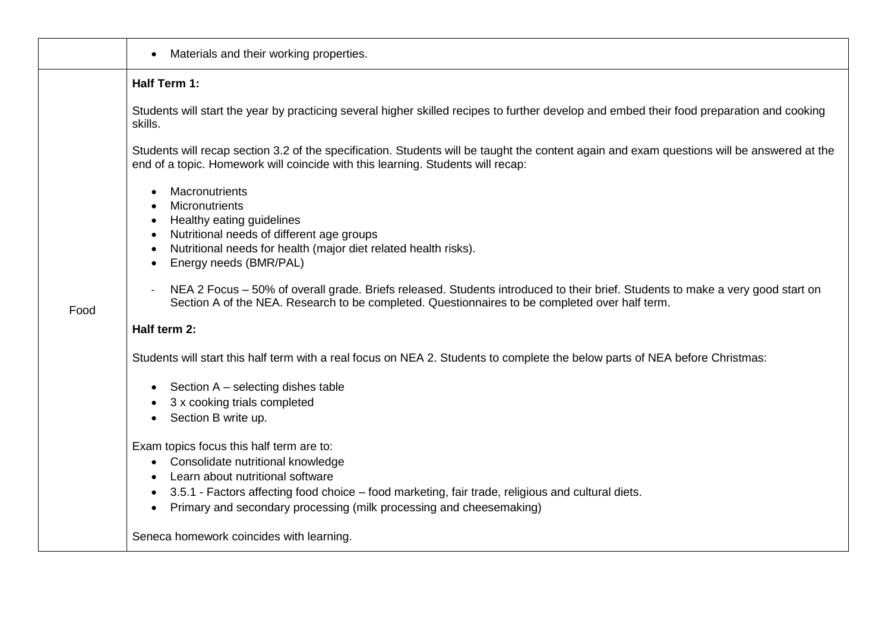|      | Materials and their working properties.<br>$\bullet$                                                                                                                                                                                                         |
|------|--------------------------------------------------------------------------------------------------------------------------------------------------------------------------------------------------------------------------------------------------------------|
|      | Half Term 1:                                                                                                                                                                                                                                                 |
|      | Students will start the year by practicing several higher skilled recipes to further develop and embed their food preparation and cooking<br>skills.                                                                                                         |
|      | Students will recap section 3.2 of the specification. Students will be taught the content again and exam questions will be answered at the<br>end of a topic. Homework will coincide with this learning. Students will recap:                                |
|      | Macronutrients<br>$\bullet$<br>Micronutrients<br>$\bullet$<br>Healthy eating guidelines<br>$\bullet$                                                                                                                                                         |
|      | Nutritional needs of different age groups<br>$\bullet$<br>Nutritional needs for health (major diet related health risks).<br>$\bullet$<br>Energy needs (BMR/PAL)<br>$\bullet$                                                                                |
| Food | NEA 2 Focus - 50% of overall grade. Briefs released. Students introduced to their brief. Students to make a very good start on<br>$\overline{\phantom{a}}$<br>Section A of the NEA. Research to be completed. Questionnaires to be completed over half term. |
|      | Half term 2:                                                                                                                                                                                                                                                 |
|      | Students will start this half term with a real focus on NEA 2. Students to complete the below parts of NEA before Christmas:                                                                                                                                 |
|      | Section A - selecting dishes table<br>$\bullet$                                                                                                                                                                                                              |
|      | 3 x cooking trials completed<br>Section B write up.                                                                                                                                                                                                          |
|      | Exam topics focus this half term are to:                                                                                                                                                                                                                     |
|      | Consolidate nutritional knowledge<br>$\bullet$                                                                                                                                                                                                               |
|      | Learn about nutritional software<br>$\bullet$<br>3.5.1 - Factors affecting food choice – food marketing, fair trade, religious and cultural diets.                                                                                                           |
|      | $\bullet$<br>Primary and secondary processing (milk processing and cheesemaking)<br>$\bullet$                                                                                                                                                                |
|      | Seneca homework coincides with learning.                                                                                                                                                                                                                     |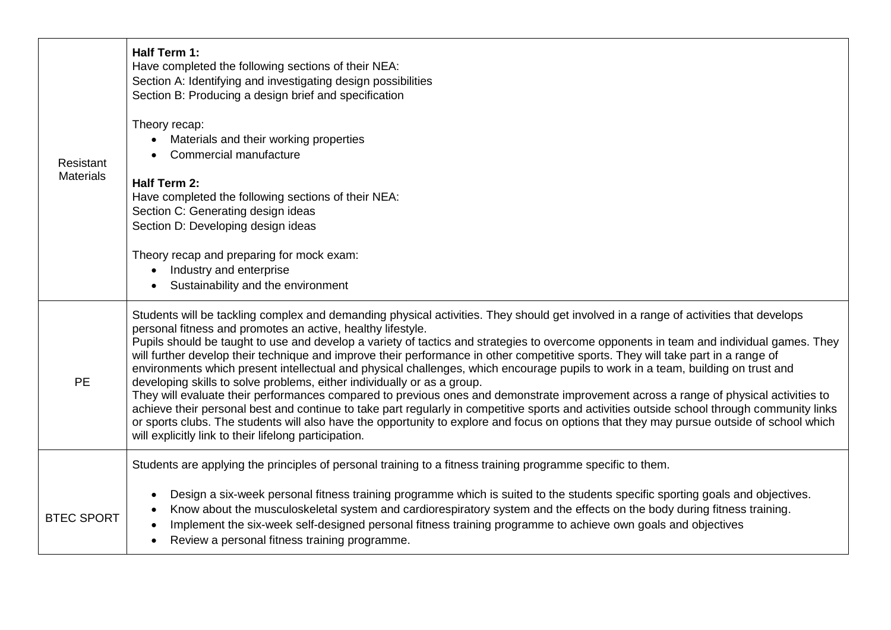|                               | Half Term 1:<br>Have completed the following sections of their NEA:<br>Section A: Identifying and investigating design possibilities<br>Section B: Producing a design brief and specification<br>Theory recap:<br>Materials and their working properties                                                                                                                                                                                                                                                                                                                                                                                                                                                                                                                                                                                                                                                                                                                                                                                                                                                                                                                                        |
|-------------------------------|-------------------------------------------------------------------------------------------------------------------------------------------------------------------------------------------------------------------------------------------------------------------------------------------------------------------------------------------------------------------------------------------------------------------------------------------------------------------------------------------------------------------------------------------------------------------------------------------------------------------------------------------------------------------------------------------------------------------------------------------------------------------------------------------------------------------------------------------------------------------------------------------------------------------------------------------------------------------------------------------------------------------------------------------------------------------------------------------------------------------------------------------------------------------------------------------------|
| Resistant<br><b>Materials</b> | Commercial manufacture<br>Half Term 2:<br>Have completed the following sections of their NEA:<br>Section C: Generating design ideas<br>Section D: Developing design ideas<br>Theory recap and preparing for mock exam:<br>Industry and enterprise<br>$\bullet$                                                                                                                                                                                                                                                                                                                                                                                                                                                                                                                                                                                                                                                                                                                                                                                                                                                                                                                                  |
|                               | Sustainability and the environment                                                                                                                                                                                                                                                                                                                                                                                                                                                                                                                                                                                                                                                                                                                                                                                                                                                                                                                                                                                                                                                                                                                                                              |
| <b>PE</b>                     | Students will be tackling complex and demanding physical activities. They should get involved in a range of activities that develops<br>personal fitness and promotes an active, healthy lifestyle.<br>Pupils should be taught to use and develop a variety of tactics and strategies to overcome opponents in team and individual games. They<br>will further develop their technique and improve their performance in other competitive sports. They will take part in a range of<br>environments which present intellectual and physical challenges, which encourage pupils to work in a team, building on trust and<br>developing skills to solve problems, either individually or as a group.<br>They will evaluate their performances compared to previous ones and demonstrate improvement across a range of physical activities to<br>achieve their personal best and continue to take part regularly in competitive sports and activities outside school through community links<br>or sports clubs. The students will also have the opportunity to explore and focus on options that they may pursue outside of school which<br>will explicitly link to their lifelong participation. |
|                               | Students are applying the principles of personal training to a fitness training programme specific to them.                                                                                                                                                                                                                                                                                                                                                                                                                                                                                                                                                                                                                                                                                                                                                                                                                                                                                                                                                                                                                                                                                     |
| <b>BTEC SPORT</b>             | Design a six-week personal fitness training programme which is suited to the students specific sporting goals and objectives.<br>$\bullet$<br>Know about the musculoskeletal system and cardiorespiratory system and the effects on the body during fitness training.<br>Implement the six-week self-designed personal fitness training programme to achieve own goals and objectives<br>Review a personal fitness training programme.<br>٠                                                                                                                                                                                                                                                                                                                                                                                                                                                                                                                                                                                                                                                                                                                                                     |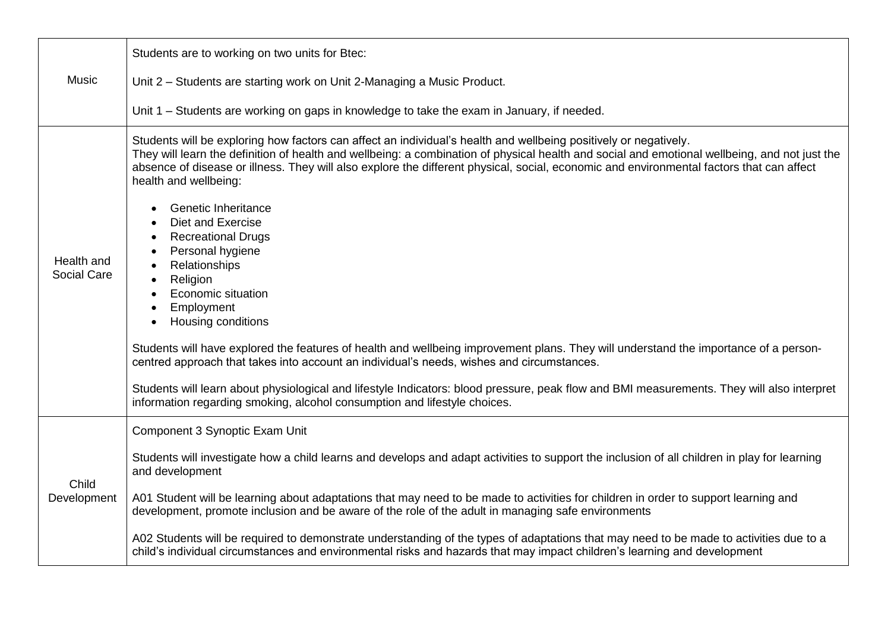|                           | Students are to working on two units for Btec:                                                                                                                                                                                                                                                                                                                                                                                         |
|---------------------------|----------------------------------------------------------------------------------------------------------------------------------------------------------------------------------------------------------------------------------------------------------------------------------------------------------------------------------------------------------------------------------------------------------------------------------------|
| <b>Music</b>              | Unit 2 - Students are starting work on Unit 2-Managing a Music Product.                                                                                                                                                                                                                                                                                                                                                                |
|                           | Unit 1 – Students are working on gaps in knowledge to take the exam in January, if needed.                                                                                                                                                                                                                                                                                                                                             |
| Health and<br>Social Care | Students will be exploring how factors can affect an individual's health and wellbeing positively or negatively.<br>They will learn the definition of health and wellbeing: a combination of physical health and social and emotional wellbeing, and not just the<br>absence of disease or illness. They will also explore the different physical, social, economic and environmental factors that can affect<br>health and wellbeing: |
|                           | Genetic Inheritance<br>Diet and Exercise<br><b>Recreational Drugs</b><br>$\bullet$<br>Personal hygiene<br>Relationships<br>$\bullet$<br>Religion<br>$\bullet$<br>Economic situation<br>Employment<br>$\bullet$<br>Housing conditions<br>Students will have explored the features of health and wellbeing improvement plans. They will understand the importance of a person-                                                           |
|                           | centred approach that takes into account an individual's needs, wishes and circumstances.<br>Students will learn about physiological and lifestyle Indicators: blood pressure, peak flow and BMI measurements. They will also interpret<br>information regarding smoking, alcohol consumption and lifestyle choices.                                                                                                                   |
|                           | Component 3 Synoptic Exam Unit                                                                                                                                                                                                                                                                                                                                                                                                         |
| Child<br>Development      | Students will investigate how a child learns and develops and adapt activities to support the inclusion of all children in play for learning<br>and development                                                                                                                                                                                                                                                                        |
|                           | A01 Student will be learning about adaptations that may need to be made to activities for children in order to support learning and<br>development, promote inclusion and be aware of the role of the adult in managing safe environments                                                                                                                                                                                              |
|                           | A02 Students will be required to demonstrate understanding of the types of adaptations that may need to be made to activities due to a<br>child's individual circumstances and environmental risks and hazards that may impact children's learning and development                                                                                                                                                                     |